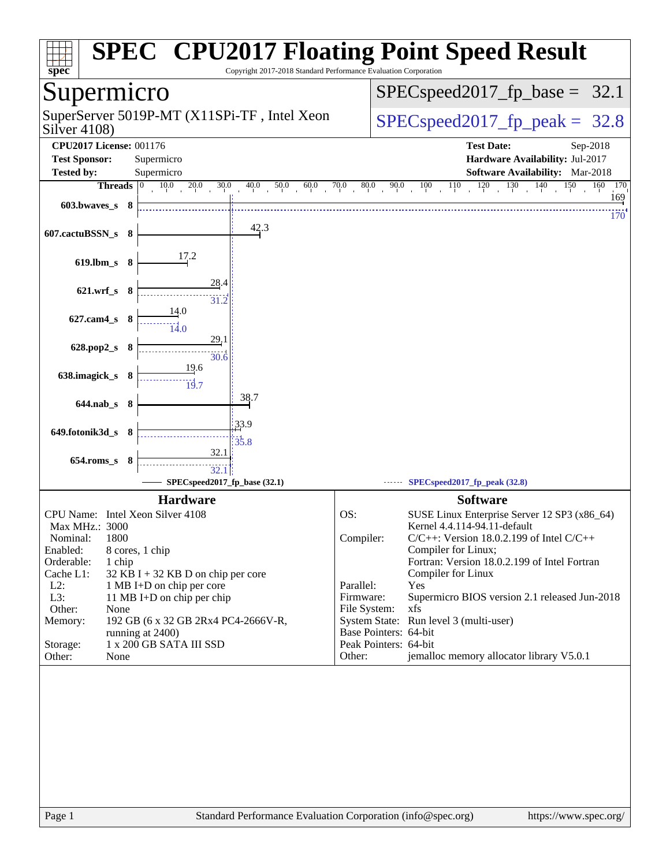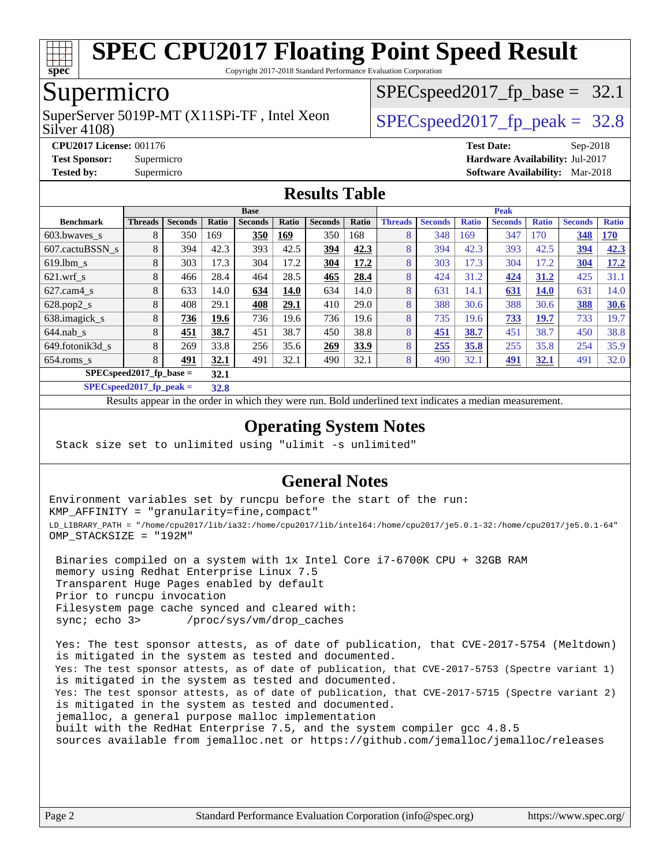

Copyright 2017-2018 Standard Performance Evaluation Corporation

## Supermicro

Silver 4108) SuperServer 5019P-MT (X11SPi-TF, Intel Xeon  $SPIEC speed2017$  fp\_peak = 32.8

 $SPECspeed2017_fp\_base = 32.1$ 

**[CPU2017 License:](http://www.spec.org/auto/cpu2017/Docs/result-fields.html#CPU2017License)** 001176 **[Test Date:](http://www.spec.org/auto/cpu2017/Docs/result-fields.html#TestDate)** Sep-2018 **[Test Sponsor:](http://www.spec.org/auto/cpu2017/Docs/result-fields.html#TestSponsor)** Supermicro **[Hardware Availability:](http://www.spec.org/auto/cpu2017/Docs/result-fields.html#HardwareAvailability)** Jul-2017 **[Tested by:](http://www.spec.org/auto/cpu2017/Docs/result-fields.html#Testedby)** Supermicro **[Software Availability:](http://www.spec.org/auto/cpu2017/Docs/result-fields.html#SoftwareAvailability)** Mar-2018

### **[Results Table](http://www.spec.org/auto/cpu2017/Docs/result-fields.html#ResultsTable)**

|                            | <b>Base</b>    |                |       |                |       |                |       | <b>Peak</b>    |                |              |                |              |                |              |
|----------------------------|----------------|----------------|-------|----------------|-------|----------------|-------|----------------|----------------|--------------|----------------|--------------|----------------|--------------|
| <b>Benchmark</b>           | <b>Threads</b> | <b>Seconds</b> | Ratio | <b>Seconds</b> | Ratio | <b>Seconds</b> | Ratio | <b>Threads</b> | <b>Seconds</b> | <b>Ratio</b> | <b>Seconds</b> | <b>Ratio</b> | <b>Seconds</b> | <b>Ratio</b> |
| 603.bwayes s               | 8              | 350            | 169   | 350            | 169   | 350            | 168   | 8              | 348            | 169          | 347            | 170          | 348            | <b>170</b>   |
| 607.cactuBSSN s            | 8              | 394            | 42.3  | 393            | 42.5  | 394            | 42.3  | 8              | 394            | 42.3         | 393            | 42.5         | 394            | 42.3         |
| $619.1$ bm s               | 8              | 303            | 17.3  | 304            | 17.2  | 304            | 17.2  | 8              | 303            | 17.3         | 304            | 17.2         | 304            | 17.2         |
| $621$ wrf s                | 8              | 466            | 28.4  | 464            | 28.5  | 465            | 28.4  | 8              | 424            | 31.2         | 424            | 31.2         | 425            | 31.1         |
| $627$ .cam4 s              | 8              | 633            | 14.0  | 634            | 14.0  | 634            | 14.0  | 8              | 631            | 14.1         | <u>631</u>     | 14.0         | 631            | 14.0         |
| $628.pop2_s$               | 8              | 408            | 29.1  | 408            | 29.1  | 410            | 29.0  | 8              | 388            | 30.6         | 388            | 30.6         | 388            | 30.6         |
| 638.imagick_s              | 8              | 736            | 19.6  | 736            | 19.6  | 736            | 19.6  | 8              | 735            | 19.6         | 733            | 19.7         | 733            | 19.7         |
| $644$ .nab s               | 8              | 451            | 38.7  | 451            | 38.7  | 450            | 38.8  | 8              | 451            | 38.7         | 451            | 38.7         | 450            | 38.8         |
| 649.fotonik3d s            | 8              | 269            | 33.8  | 256            | 35.6  | 269            | 33.9  | 8              | 255            | 35.8         | 255            | 35.8         | 254            | 35.9         |
| $654$ .roms_s              | 8              | 491            | 32.1  | 491            | 32.1  | 490            | 32.1  | 8              | 490            | 32.1         | <u>491</u>     | 32.1         | 491            | 32.0         |
| $SPECspeed2017_fp\_base =$ |                |                | 32.1  |                |       |                |       |                |                |              |                |              |                |              |

**[SPECspeed2017\\_fp\\_peak =](http://www.spec.org/auto/cpu2017/Docs/result-fields.html#SPECspeed2017fppeak) 32.8**

Results appear in the [order in which they were run.](http://www.spec.org/auto/cpu2017/Docs/result-fields.html#RunOrder) Bold underlined text [indicates a median measurement](http://www.spec.org/auto/cpu2017/Docs/result-fields.html#Median).

### **[Operating System Notes](http://www.spec.org/auto/cpu2017/Docs/result-fields.html#OperatingSystemNotes)**

Stack size set to unlimited using "ulimit -s unlimited"

## **[General Notes](http://www.spec.org/auto/cpu2017/Docs/result-fields.html#GeneralNotes)**

Environment variables set by runcpu before the start of the run: KMP\_AFFINITY = "granularity=fine,compact" LD\_LIBRARY\_PATH = "/home/cpu2017/lib/ia32:/home/cpu2017/lib/intel64:/home/cpu2017/je5.0.1-32:/home/cpu2017/je5.0.1-64" OMP\_STACKSIZE = "192M"

 Binaries compiled on a system with 1x Intel Core i7-6700K CPU + 32GB RAM memory using Redhat Enterprise Linux 7.5 Transparent Huge Pages enabled by default Prior to runcpu invocation Filesystem page cache synced and cleared with: sync; echo 3> /proc/sys/vm/drop\_caches

 Yes: The test sponsor attests, as of date of publication, that CVE-2017-5754 (Meltdown) is mitigated in the system as tested and documented. Yes: The test sponsor attests, as of date of publication, that CVE-2017-5753 (Spectre variant 1) is mitigated in the system as tested and documented. Yes: The test sponsor attests, as of date of publication, that CVE-2017-5715 (Spectre variant 2) is mitigated in the system as tested and documented. jemalloc, a general purpose malloc implementation built with the RedHat Enterprise 7.5, and the system compiler gcc 4.8.5 sources available from jemalloc.net or <https://github.com/jemalloc/jemalloc/releases>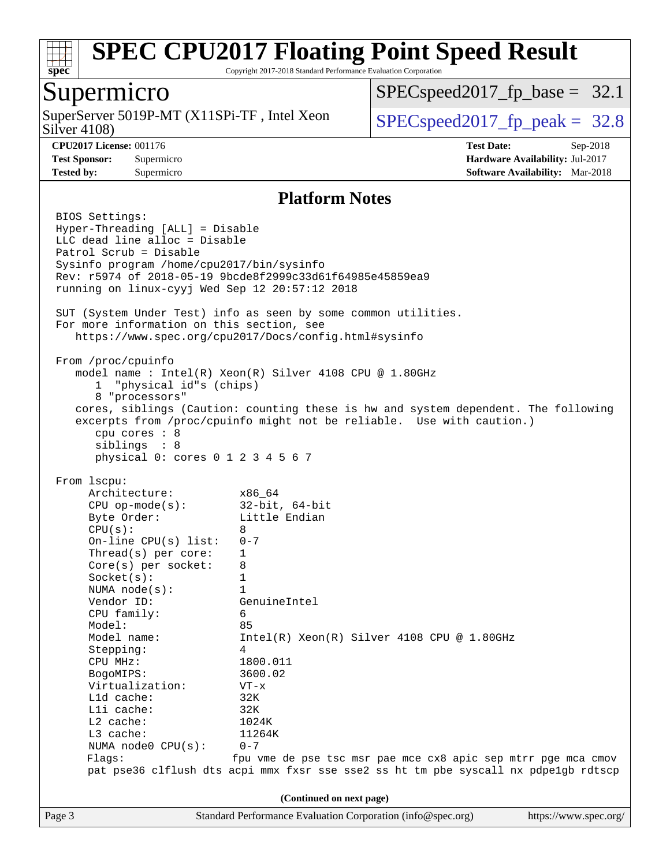

Copyright 2017-2018 Standard Performance Evaluation Corporation

## Supermicro

Silver 4108) SuperServer 5019P-MT  $(X11SPi-TF)$ , Intel Xeon  $\big|$  [SPECspeed2017\\_fp\\_peak =](http://www.spec.org/auto/cpu2017/Docs/result-fields.html#SPECspeed2017fppeak) 32.8

 $SPECspeed2017_fp\_base = 32.1$ 

**[CPU2017 License:](http://www.spec.org/auto/cpu2017/Docs/result-fields.html#CPU2017License)** 001176 **[Test Date:](http://www.spec.org/auto/cpu2017/Docs/result-fields.html#TestDate)** Sep-2018 **[Test Sponsor:](http://www.spec.org/auto/cpu2017/Docs/result-fields.html#TestSponsor)** Supermicro **[Hardware Availability:](http://www.spec.org/auto/cpu2017/Docs/result-fields.html#HardwareAvailability)** Jul-2017 **[Tested by:](http://www.spec.org/auto/cpu2017/Docs/result-fields.html#Testedby)** Supermicro **[Software Availability:](http://www.spec.org/auto/cpu2017/Docs/result-fields.html#SoftwareAvailability)** Mar-2018

### **[Platform Notes](http://www.spec.org/auto/cpu2017/Docs/result-fields.html#PlatformNotes)**

Page 3 Standard Performance Evaluation Corporation [\(info@spec.org\)](mailto:info@spec.org) <https://www.spec.org/> BIOS Settings: Hyper-Threading [ALL] = Disable LLC dead line alloc = Disable Patrol Scrub = Disable Sysinfo program /home/cpu2017/bin/sysinfo Rev: r5974 of 2018-05-19 9bcde8f2999c33d61f64985e45859ea9 running on linux-cyyj Wed Sep 12 20:57:12 2018 SUT (System Under Test) info as seen by some common utilities. For more information on this section, see <https://www.spec.org/cpu2017/Docs/config.html#sysinfo> From /proc/cpuinfo model name : Intel(R) Xeon(R) Silver 4108 CPU @ 1.80GHz 1 "physical id"s (chips) 8 "processors" cores, siblings (Caution: counting these is hw and system dependent. The following excerpts from /proc/cpuinfo might not be reliable. Use with caution.) cpu cores : 8 siblings : 8 physical 0: cores 0 1 2 3 4 5 6 7 From lscpu: Architecture: x86\_64 CPU op-mode(s): 32-bit, 64-bit Byte Order: Little Endian  $CPU(s):$  8 On-line CPU(s) list: 0-7 Thread(s) per core: 1 Core(s) per socket: 8 Socket(s): 1 NUMA node(s): 1 Vendor ID: GenuineIntel CPU family: 6 Model: 85 Model name: Intel(R) Xeon(R) Silver 4108 CPU @ 1.80GHz Stepping: 4 CPU MHz: 1800.011 BogoMIPS: 3600.02 Virtualization: VT-x L1d cache: 32K L1i cache: 32K L2 cache: 1024K<br>
L3 cache: 11264K  $L3$  cache: NUMA node0 CPU(s): 0-7 Flags: fpu vme de pse tsc msr pae mce cx8 apic sep mtrr pge mca cmov pat pse36 clflush dts acpi mmx fxsr sse sse2 ss ht tm pbe syscall nx pdpe1gb rdtscp **(Continued on next page)**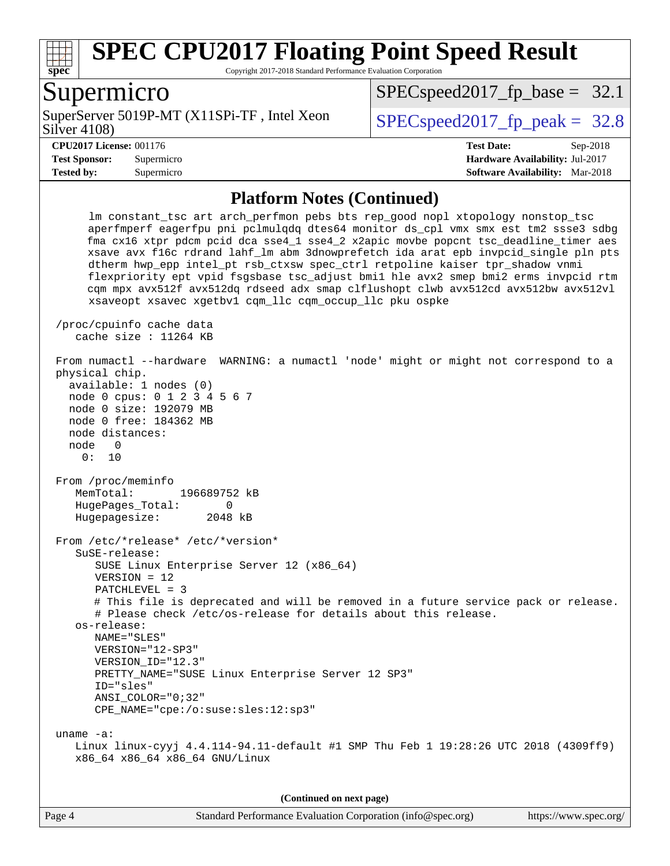

Copyright 2017-2018 Standard Performance Evaluation Corporation

## Supermicro

Silver 4108) SuperServer 5019P-MT (X11SPi-TF, Intel Xeon  $SPIEC speed2017$  fp\_peak = 32.8

 $SPECspeed2017_fp\_base = 32.1$ 

**[Tested by:](http://www.spec.org/auto/cpu2017/Docs/result-fields.html#Testedby)** Supermicro **[Software Availability:](http://www.spec.org/auto/cpu2017/Docs/result-fields.html#SoftwareAvailability)** Mar-2018

**[CPU2017 License:](http://www.spec.org/auto/cpu2017/Docs/result-fields.html#CPU2017License)** 001176 **[Test Date:](http://www.spec.org/auto/cpu2017/Docs/result-fields.html#TestDate)** Sep-2018 **[Test Sponsor:](http://www.spec.org/auto/cpu2017/Docs/result-fields.html#TestSponsor)** Supermicro **[Hardware Availability:](http://www.spec.org/auto/cpu2017/Docs/result-fields.html#HardwareAvailability)** Jul-2017

### **[Platform Notes \(Continued\)](http://www.spec.org/auto/cpu2017/Docs/result-fields.html#PlatformNotes)**

 lm constant\_tsc art arch\_perfmon pebs bts rep\_good nopl xtopology nonstop\_tsc aperfmperf eagerfpu pni pclmulqdq dtes64 monitor ds\_cpl vmx smx est tm2 ssse3 sdbg fma cx16 xtpr pdcm pcid dca sse4\_1 sse4\_2 x2apic movbe popcnt tsc\_deadline\_timer aes xsave avx f16c rdrand lahf\_lm abm 3dnowprefetch ida arat epb invpcid\_single pln pts dtherm hwp\_epp intel\_pt rsb\_ctxsw spec\_ctrl retpoline kaiser tpr\_shadow vnmi flexpriority ept vpid fsgsbase tsc\_adjust bmi1 hle avx2 smep bmi2 erms invpcid rtm cqm mpx avx512f avx512dq rdseed adx smap clflushopt clwb avx512cd avx512bw avx512vl xsaveopt xsavec xgetbv1 cqm\_llc cqm\_occup\_llc pku ospke /proc/cpuinfo cache data cache size : 11264 KB From numactl --hardware WARNING: a numactl 'node' might or might not correspond to a physical chip. available: 1 nodes (0) node 0 cpus: 0 1 2 3 4 5 6 7 node 0 size: 192079 MB node 0 free: 184362 MB node distances: node 0 0: 10 From /proc/meminfo MemTotal: 196689752 kB HugePages\_Total: 0 Hugepagesize: 2048 kB From /etc/\*release\* /etc/\*version\* SuSE-release: SUSE Linux Enterprise Server 12 (x86\_64) VERSION = 12 PATCHLEVEL = 3 # This file is deprecated and will be removed in a future service pack or release. # Please check /etc/os-release for details about this release. os-release: NAME="SLES" VERSION="12-SP3" VERSION\_ID="12.3" PRETTY\_NAME="SUSE Linux Enterprise Server 12 SP3" ID="sles" ANSI\_COLOR="0;32" CPE\_NAME="cpe:/o:suse:sles:12:sp3" uname -a: Linux linux-cyyj 4.4.114-94.11-default #1 SMP Thu Feb 1 19:28:26 UTC 2018 (4309ff9) x86\_64 x86\_64 x86\_64 GNU/Linux

**(Continued on next page)**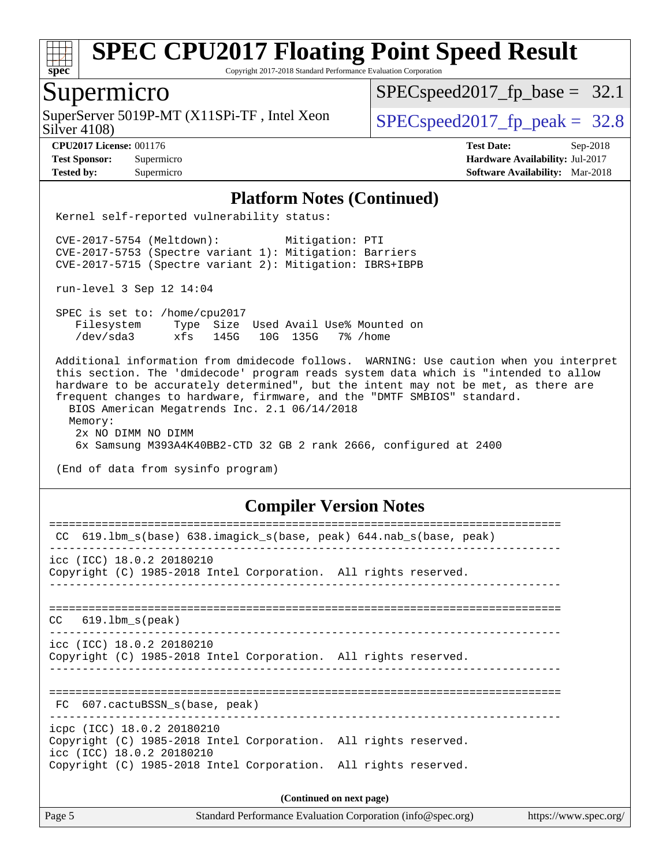

Copyright 2017-2018 Standard Performance Evaluation Corporation

## Supermicro

Silver 4108) SuperServer 5019P-MT  $(X11SPi-TF)$ , Intel Xeon  $\big|$  [SPECspeed2017\\_fp\\_peak =](http://www.spec.org/auto/cpu2017/Docs/result-fields.html#SPECspeed2017fppeak) 32.8

 $SPECspeed2017_fp\_base = 32.1$ 

**[CPU2017 License:](http://www.spec.org/auto/cpu2017/Docs/result-fields.html#CPU2017License)** 001176 **[Test Date:](http://www.spec.org/auto/cpu2017/Docs/result-fields.html#TestDate)** Sep-2018 **[Test Sponsor:](http://www.spec.org/auto/cpu2017/Docs/result-fields.html#TestSponsor)** Supermicro **[Hardware Availability:](http://www.spec.org/auto/cpu2017/Docs/result-fields.html#HardwareAvailability)** Jul-2017 **[Tested by:](http://www.spec.org/auto/cpu2017/Docs/result-fields.html#Testedby)** Supermicro **[Software Availability:](http://www.spec.org/auto/cpu2017/Docs/result-fields.html#SoftwareAvailability)** Mar-2018

### **[Platform Notes \(Continued\)](http://www.spec.org/auto/cpu2017/Docs/result-fields.html#PlatformNotes)**

Kernel self-reported vulnerability status:

 CVE-2017-5754 (Meltdown): Mitigation: PTI CVE-2017-5753 (Spectre variant 1): Mitigation: Barriers CVE-2017-5715 (Spectre variant 2): Mitigation: IBRS+IBPB

run-level 3 Sep 12 14:04

 SPEC is set to: /home/cpu2017 Filesystem Type Size Used Avail Use% Mounted on /dev/sda3 xfs 145G 10G 135G 7% /home

 Additional information from dmidecode follows. WARNING: Use caution when you interpret this section. The 'dmidecode' program reads system data which is "intended to allow hardware to be accurately determined", but the intent may not be met, as there are frequent changes to hardware, firmware, and the "DMTF SMBIOS" standard. BIOS American Megatrends Inc. 2.1 06/14/2018 Memory: 2x NO DIMM NO DIMM 6x Samsung M393A4K40BB2-CTD 32 GB 2 rank 2666, configured at 2400

(End of data from sysinfo program)

### **[Compiler Version Notes](http://www.spec.org/auto/cpu2017/Docs/result-fields.html#CompilerVersionNotes)**

| CC 619.1bm_s(base) 638.imagick_s(base, peak) 644.nab_s(base, peak)                           |  |  |  |  |  |
|----------------------------------------------------------------------------------------------|--|--|--|--|--|
| icc (ICC) 18.0.2 20180210                                                                    |  |  |  |  |  |
| Copyright (C) 1985-2018 Intel Corporation. All rights reserved.                              |  |  |  |  |  |
|                                                                                              |  |  |  |  |  |
|                                                                                              |  |  |  |  |  |
| $CC$ 619.1bm $s$ (peak)                                                                      |  |  |  |  |  |
| icc (ICC) 18.0.2 20180210                                                                    |  |  |  |  |  |
| Copyright (C) 1985-2018 Intel Corporation. All rights reserved.                              |  |  |  |  |  |
|                                                                                              |  |  |  |  |  |
|                                                                                              |  |  |  |  |  |
| FC 607.cactuBSSN s(base, peak)                                                               |  |  |  |  |  |
| icpc (ICC) 18.0.2 20180210                                                                   |  |  |  |  |  |
| Copyright (C) 1985-2018 Intel Corporation. All rights reserved.<br>icc (ICC) 18.0.2 20180210 |  |  |  |  |  |
| Copyright (C) 1985-2018 Intel Corporation. All rights reserved.                              |  |  |  |  |  |
|                                                                                              |  |  |  |  |  |
| (Continued on next page)                                                                     |  |  |  |  |  |

Page 5 Standard Performance Evaluation Corporation [\(info@spec.org\)](mailto:info@spec.org) <https://www.spec.org/>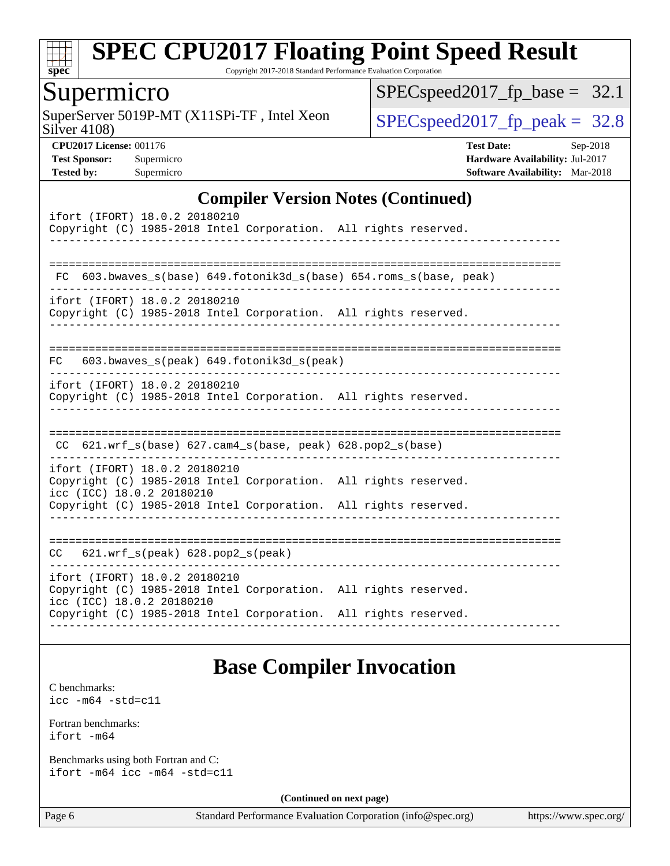

Copyright 2017-2018 Standard Performance Evaluation Corporation

## Supermicro

Silver 4108) SuperServer 5019P-MT  $(X11SPi-TF)$ , Intel Xeon  $Sily$ er 4108)  $SPEC speed2017<sub>fp</sub> peak = 32.8$ 

[SPECspeed2017\\_fp\\_base =](http://www.spec.org/auto/cpu2017/Docs/result-fields.html#SPECspeed2017fpbase) 32.1

**[CPU2017 License:](http://www.spec.org/auto/cpu2017/Docs/result-fields.html#CPU2017License)** 001176 **[Test Date:](http://www.spec.org/auto/cpu2017/Docs/result-fields.html#TestDate)** Sep-2018 **[Test Sponsor:](http://www.spec.org/auto/cpu2017/Docs/result-fields.html#TestSponsor)** Supermicro **[Hardware Availability:](http://www.spec.org/auto/cpu2017/Docs/result-fields.html#HardwareAvailability)** Jul-2017 **[Tested by:](http://www.spec.org/auto/cpu2017/Docs/result-fields.html#Testedby)** Supermicro **[Software Availability:](http://www.spec.org/auto/cpu2017/Docs/result-fields.html#SoftwareAvailability)** Mar-2018

### **[Compiler Version Notes \(Continued\)](http://www.spec.org/auto/cpu2017/Docs/result-fields.html#CompilerVersionNotes)**

| ifort (IFORT) 18.0.2 20180210<br>Copyright (C) 1985-2018 Intel Corporation. All rights reserved.                                                                                                 |
|--------------------------------------------------------------------------------------------------------------------------------------------------------------------------------------------------|
| 603.bwaves_s(base) 649.fotonik3d_s(base) 654.roms_s(base, peak)<br>FC                                                                                                                            |
| ifort (IFORT) 18.0.2 20180210<br>Copyright (C) 1985-2018 Intel Corporation. All rights reserved.                                                                                                 |
| $FC$ 603.bwaves_s(peak) 649.fotonik3d_s(peak)                                                                                                                                                    |
| ifort (IFORT) 18.0.2 20180210<br>Copyright (C) 1985-2018 Intel Corporation. All rights reserved.                                                                                                 |
| CC $621.wrf_s(base) 627.cam4_s(base, peak) 628.pop2_s(base)$                                                                                                                                     |
| ifort (IFORT) 18.0.2 20180210<br>Copyright (C) 1985-2018 Intel Corporation. All rights reserved.<br>icc (ICC) 18.0.2 20180210<br>Copyright (C) 1985-2018 Intel Corporation. All rights reserved. |
| $CC$ 621.wrf $s(\text{peak})$ 628.pop2 $s(\text{peak})$                                                                                                                                          |
| ifort (IFORT) 18.0.2 20180210<br>Copyright (C) 1985-2018 Intel Corporation. All rights reserved.<br>icc (ICC) 18.0.2 20180210<br>Copyright (C) 1985-2018 Intel Corporation. All rights reserved. |

## **[Base Compiler Invocation](http://www.spec.org/auto/cpu2017/Docs/result-fields.html#BaseCompilerInvocation)**

[C benchmarks](http://www.spec.org/auto/cpu2017/Docs/result-fields.html#Cbenchmarks): [icc -m64 -std=c11](http://www.spec.org/cpu2017/results/res2018q4/cpu2017-20181002-09038.flags.html#user_CCbase_intel_icc_64bit_c11_33ee0cdaae7deeeab2a9725423ba97205ce30f63b9926c2519791662299b76a0318f32ddfffdc46587804de3178b4f9328c46fa7c2b0cd779d7a61945c91cd35)

[Fortran benchmarks](http://www.spec.org/auto/cpu2017/Docs/result-fields.html#Fortranbenchmarks): [ifort -m64](http://www.spec.org/cpu2017/results/res2018q4/cpu2017-20181002-09038.flags.html#user_FCbase_intel_ifort_64bit_24f2bb282fbaeffd6157abe4f878425411749daecae9a33200eee2bee2fe76f3b89351d69a8130dd5949958ce389cf37ff59a95e7a40d588e8d3a57e0c3fd751)

[Benchmarks using both Fortran and C](http://www.spec.org/auto/cpu2017/Docs/result-fields.html#BenchmarksusingbothFortranandC): [ifort -m64](http://www.spec.org/cpu2017/results/res2018q4/cpu2017-20181002-09038.flags.html#user_CC_FCbase_intel_ifort_64bit_24f2bb282fbaeffd6157abe4f878425411749daecae9a33200eee2bee2fe76f3b89351d69a8130dd5949958ce389cf37ff59a95e7a40d588e8d3a57e0c3fd751) [icc -m64 -std=c11](http://www.spec.org/cpu2017/results/res2018q4/cpu2017-20181002-09038.flags.html#user_CC_FCbase_intel_icc_64bit_c11_33ee0cdaae7deeeab2a9725423ba97205ce30f63b9926c2519791662299b76a0318f32ddfffdc46587804de3178b4f9328c46fa7c2b0cd779d7a61945c91cd35)

**(Continued on next page)**

Page 6 Standard Performance Evaluation Corporation [\(info@spec.org\)](mailto:info@spec.org) <https://www.spec.org/>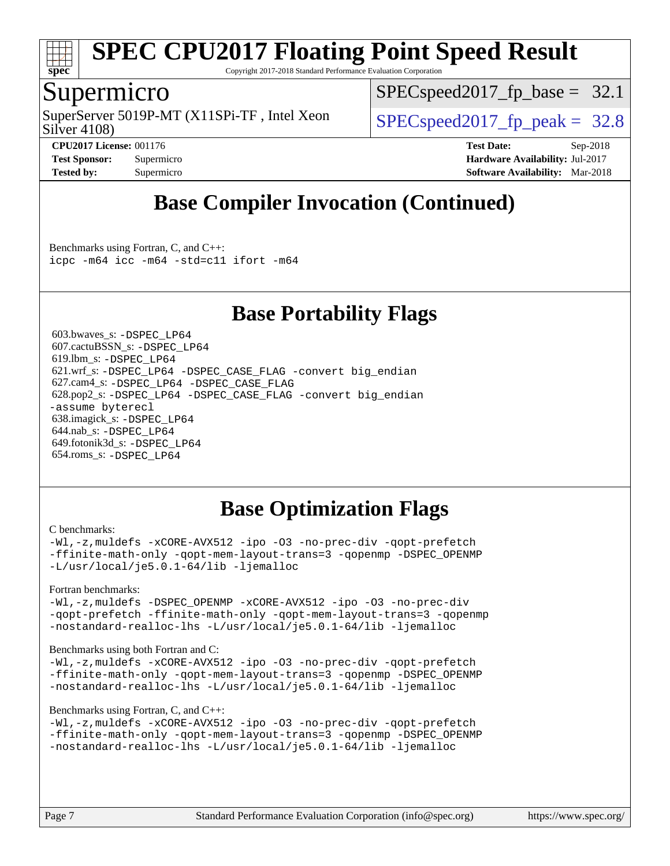

Copyright 2017-2018 Standard Performance Evaluation Corporation

## Supermicro

Silver 4108) SuperServer 5019P-MT (X11SPi-TF, Intel Xeon  $SPIEC speed2017$  fp\_peak = 32.8

 $SPECspeed2017_fp\_base = 32.1$ 

**[CPU2017 License:](http://www.spec.org/auto/cpu2017/Docs/result-fields.html#CPU2017License)** 001176 **[Test Date:](http://www.spec.org/auto/cpu2017/Docs/result-fields.html#TestDate)** Sep-2018 **[Test Sponsor:](http://www.spec.org/auto/cpu2017/Docs/result-fields.html#TestSponsor)** Supermicro **[Hardware Availability:](http://www.spec.org/auto/cpu2017/Docs/result-fields.html#HardwareAvailability)** Jul-2017 **[Tested by:](http://www.spec.org/auto/cpu2017/Docs/result-fields.html#Testedby)** Supermicro **[Software Availability:](http://www.spec.org/auto/cpu2017/Docs/result-fields.html#SoftwareAvailability)** Mar-2018

## **[Base Compiler Invocation \(Continued\)](http://www.spec.org/auto/cpu2017/Docs/result-fields.html#BaseCompilerInvocation)**

[Benchmarks using Fortran, C, and C++:](http://www.spec.org/auto/cpu2017/Docs/result-fields.html#BenchmarksusingFortranCandCXX) [icpc -m64](http://www.spec.org/cpu2017/results/res2018q4/cpu2017-20181002-09038.flags.html#user_CC_CXX_FCbase_intel_icpc_64bit_4ecb2543ae3f1412ef961e0650ca070fec7b7afdcd6ed48761b84423119d1bf6bdf5cad15b44d48e7256388bc77273b966e5eb805aefd121eb22e9299b2ec9d9) [icc -m64 -std=c11](http://www.spec.org/cpu2017/results/res2018q4/cpu2017-20181002-09038.flags.html#user_CC_CXX_FCbase_intel_icc_64bit_c11_33ee0cdaae7deeeab2a9725423ba97205ce30f63b9926c2519791662299b76a0318f32ddfffdc46587804de3178b4f9328c46fa7c2b0cd779d7a61945c91cd35) [ifort -m64](http://www.spec.org/cpu2017/results/res2018q4/cpu2017-20181002-09038.flags.html#user_CC_CXX_FCbase_intel_ifort_64bit_24f2bb282fbaeffd6157abe4f878425411749daecae9a33200eee2bee2fe76f3b89351d69a8130dd5949958ce389cf37ff59a95e7a40d588e8d3a57e0c3fd751)

## **[Base Portability Flags](http://www.spec.org/auto/cpu2017/Docs/result-fields.html#BasePortabilityFlags)**

 603.bwaves\_s: [-DSPEC\\_LP64](http://www.spec.org/cpu2017/results/res2018q4/cpu2017-20181002-09038.flags.html#suite_basePORTABILITY603_bwaves_s_DSPEC_LP64) 607.cactuBSSN\_s: [-DSPEC\\_LP64](http://www.spec.org/cpu2017/results/res2018q4/cpu2017-20181002-09038.flags.html#suite_basePORTABILITY607_cactuBSSN_s_DSPEC_LP64) 619.lbm\_s: [-DSPEC\\_LP64](http://www.spec.org/cpu2017/results/res2018q4/cpu2017-20181002-09038.flags.html#suite_basePORTABILITY619_lbm_s_DSPEC_LP64) 621.wrf\_s: [-DSPEC\\_LP64](http://www.spec.org/cpu2017/results/res2018q4/cpu2017-20181002-09038.flags.html#suite_basePORTABILITY621_wrf_s_DSPEC_LP64) [-DSPEC\\_CASE\\_FLAG](http://www.spec.org/cpu2017/results/res2018q4/cpu2017-20181002-09038.flags.html#b621.wrf_s_baseCPORTABILITY_DSPEC_CASE_FLAG) [-convert big\\_endian](http://www.spec.org/cpu2017/results/res2018q4/cpu2017-20181002-09038.flags.html#user_baseFPORTABILITY621_wrf_s_convert_big_endian_c3194028bc08c63ac5d04de18c48ce6d347e4e562e8892b8bdbdc0214820426deb8554edfa529a3fb25a586e65a3d812c835984020483e7e73212c4d31a38223) 627.cam4\_s: [-DSPEC\\_LP64](http://www.spec.org/cpu2017/results/res2018q4/cpu2017-20181002-09038.flags.html#suite_basePORTABILITY627_cam4_s_DSPEC_LP64) [-DSPEC\\_CASE\\_FLAG](http://www.spec.org/cpu2017/results/res2018q4/cpu2017-20181002-09038.flags.html#b627.cam4_s_baseCPORTABILITY_DSPEC_CASE_FLAG) 628.pop2\_s: [-DSPEC\\_LP64](http://www.spec.org/cpu2017/results/res2018q4/cpu2017-20181002-09038.flags.html#suite_basePORTABILITY628_pop2_s_DSPEC_LP64) [-DSPEC\\_CASE\\_FLAG](http://www.spec.org/cpu2017/results/res2018q4/cpu2017-20181002-09038.flags.html#b628.pop2_s_baseCPORTABILITY_DSPEC_CASE_FLAG) [-convert big\\_endian](http://www.spec.org/cpu2017/results/res2018q4/cpu2017-20181002-09038.flags.html#user_baseFPORTABILITY628_pop2_s_convert_big_endian_c3194028bc08c63ac5d04de18c48ce6d347e4e562e8892b8bdbdc0214820426deb8554edfa529a3fb25a586e65a3d812c835984020483e7e73212c4d31a38223) [-assume byterecl](http://www.spec.org/cpu2017/results/res2018q4/cpu2017-20181002-09038.flags.html#user_baseFPORTABILITY628_pop2_s_assume_byterecl_7e47d18b9513cf18525430bbf0f2177aa9bf368bc7a059c09b2c06a34b53bd3447c950d3f8d6c70e3faf3a05c8557d66a5798b567902e8849adc142926523472) 638.imagick\_s: [-DSPEC\\_LP64](http://www.spec.org/cpu2017/results/res2018q4/cpu2017-20181002-09038.flags.html#suite_basePORTABILITY638_imagick_s_DSPEC_LP64) 644.nab\_s: [-DSPEC\\_LP64](http://www.spec.org/cpu2017/results/res2018q4/cpu2017-20181002-09038.flags.html#suite_basePORTABILITY644_nab_s_DSPEC_LP64) 649.fotonik3d\_s: [-DSPEC\\_LP64](http://www.spec.org/cpu2017/results/res2018q4/cpu2017-20181002-09038.flags.html#suite_basePORTABILITY649_fotonik3d_s_DSPEC_LP64) 654.roms\_s: [-DSPEC\\_LP64](http://www.spec.org/cpu2017/results/res2018q4/cpu2017-20181002-09038.flags.html#suite_basePORTABILITY654_roms_s_DSPEC_LP64)

## **[Base Optimization Flags](http://www.spec.org/auto/cpu2017/Docs/result-fields.html#BaseOptimizationFlags)**

### [C benchmarks](http://www.spec.org/auto/cpu2017/Docs/result-fields.html#Cbenchmarks):

[-Wl,-z,muldefs](http://www.spec.org/cpu2017/results/res2018q4/cpu2017-20181002-09038.flags.html#user_CCbase_link_force_multiple1_b4cbdb97b34bdee9ceefcfe54f4c8ea74255f0b02a4b23e853cdb0e18eb4525ac79b5a88067c842dd0ee6996c24547a27a4b99331201badda8798ef8a743f577) [-xCORE-AVX512](http://www.spec.org/cpu2017/results/res2018q4/cpu2017-20181002-09038.flags.html#user_CCbase_f-xCORE-AVX512) [-ipo](http://www.spec.org/cpu2017/results/res2018q4/cpu2017-20181002-09038.flags.html#user_CCbase_f-ipo) [-O3](http://www.spec.org/cpu2017/results/res2018q4/cpu2017-20181002-09038.flags.html#user_CCbase_f-O3) [-no-prec-div](http://www.spec.org/cpu2017/results/res2018q4/cpu2017-20181002-09038.flags.html#user_CCbase_f-no-prec-div) [-qopt-prefetch](http://www.spec.org/cpu2017/results/res2018q4/cpu2017-20181002-09038.flags.html#user_CCbase_f-qopt-prefetch) [-ffinite-math-only](http://www.spec.org/cpu2017/results/res2018q4/cpu2017-20181002-09038.flags.html#user_CCbase_f_finite_math_only_cb91587bd2077682c4b38af759c288ed7c732db004271a9512da14a4f8007909a5f1427ecbf1a0fb78ff2a814402c6114ac565ca162485bbcae155b5e4258871) [-qopt-mem-layout-trans=3](http://www.spec.org/cpu2017/results/res2018q4/cpu2017-20181002-09038.flags.html#user_CCbase_f-qopt-mem-layout-trans_de80db37974c74b1f0e20d883f0b675c88c3b01e9d123adea9b28688d64333345fb62bc4a798493513fdb68f60282f9a726aa07f478b2f7113531aecce732043) [-qopenmp](http://www.spec.org/cpu2017/results/res2018q4/cpu2017-20181002-09038.flags.html#user_CCbase_qopenmp_16be0c44f24f464004c6784a7acb94aca937f053568ce72f94b139a11c7c168634a55f6653758ddd83bcf7b8463e8028bb0b48b77bcddc6b78d5d95bb1df2967) [-DSPEC\\_OPENMP](http://www.spec.org/cpu2017/results/res2018q4/cpu2017-20181002-09038.flags.html#suite_CCbase_DSPEC_OPENMP) [-L/usr/local/je5.0.1-64/lib](http://www.spec.org/cpu2017/results/res2018q4/cpu2017-20181002-09038.flags.html#user_CCbase_jemalloc_link_path64_4b10a636b7bce113509b17f3bd0d6226c5fb2346b9178c2d0232c14f04ab830f976640479e5c33dc2bcbbdad86ecfb6634cbbd4418746f06f368b512fced5394) [-ljemalloc](http://www.spec.org/cpu2017/results/res2018q4/cpu2017-20181002-09038.flags.html#user_CCbase_jemalloc_link_lib_d1249b907c500fa1c0672f44f562e3d0f79738ae9e3c4a9c376d49f265a04b9c99b167ecedbf6711b3085be911c67ff61f150a17b3472be731631ba4d0471706)

### [Fortran benchmarks](http://www.spec.org/auto/cpu2017/Docs/result-fields.html#Fortranbenchmarks):

[-Wl,-z,muldefs](http://www.spec.org/cpu2017/results/res2018q4/cpu2017-20181002-09038.flags.html#user_FCbase_link_force_multiple1_b4cbdb97b34bdee9ceefcfe54f4c8ea74255f0b02a4b23e853cdb0e18eb4525ac79b5a88067c842dd0ee6996c24547a27a4b99331201badda8798ef8a743f577) [-DSPEC\\_OPENMP](http://www.spec.org/cpu2017/results/res2018q4/cpu2017-20181002-09038.flags.html#suite_FCbase_DSPEC_OPENMP) [-xCORE-AVX512](http://www.spec.org/cpu2017/results/res2018q4/cpu2017-20181002-09038.flags.html#user_FCbase_f-xCORE-AVX512) [-ipo](http://www.spec.org/cpu2017/results/res2018q4/cpu2017-20181002-09038.flags.html#user_FCbase_f-ipo) [-O3](http://www.spec.org/cpu2017/results/res2018q4/cpu2017-20181002-09038.flags.html#user_FCbase_f-O3) [-no-prec-div](http://www.spec.org/cpu2017/results/res2018q4/cpu2017-20181002-09038.flags.html#user_FCbase_f-no-prec-div) [-qopt-prefetch](http://www.spec.org/cpu2017/results/res2018q4/cpu2017-20181002-09038.flags.html#user_FCbase_f-qopt-prefetch) [-ffinite-math-only](http://www.spec.org/cpu2017/results/res2018q4/cpu2017-20181002-09038.flags.html#user_FCbase_f_finite_math_only_cb91587bd2077682c4b38af759c288ed7c732db004271a9512da14a4f8007909a5f1427ecbf1a0fb78ff2a814402c6114ac565ca162485bbcae155b5e4258871) [-qopt-mem-layout-trans=3](http://www.spec.org/cpu2017/results/res2018q4/cpu2017-20181002-09038.flags.html#user_FCbase_f-qopt-mem-layout-trans_de80db37974c74b1f0e20d883f0b675c88c3b01e9d123adea9b28688d64333345fb62bc4a798493513fdb68f60282f9a726aa07f478b2f7113531aecce732043) [-qopenmp](http://www.spec.org/cpu2017/results/res2018q4/cpu2017-20181002-09038.flags.html#user_FCbase_qopenmp_16be0c44f24f464004c6784a7acb94aca937f053568ce72f94b139a11c7c168634a55f6653758ddd83bcf7b8463e8028bb0b48b77bcddc6b78d5d95bb1df2967) [-nostandard-realloc-lhs](http://www.spec.org/cpu2017/results/res2018q4/cpu2017-20181002-09038.flags.html#user_FCbase_f_2003_std_realloc_82b4557e90729c0f113870c07e44d33d6f5a304b4f63d4c15d2d0f1fab99f5daaed73bdb9275d9ae411527f28b936061aa8b9c8f2d63842963b95c9dd6426b8a) [-L/usr/local/je5.0.1-64/lib](http://www.spec.org/cpu2017/results/res2018q4/cpu2017-20181002-09038.flags.html#user_FCbase_jemalloc_link_path64_4b10a636b7bce113509b17f3bd0d6226c5fb2346b9178c2d0232c14f04ab830f976640479e5c33dc2bcbbdad86ecfb6634cbbd4418746f06f368b512fced5394) [-ljemalloc](http://www.spec.org/cpu2017/results/res2018q4/cpu2017-20181002-09038.flags.html#user_FCbase_jemalloc_link_lib_d1249b907c500fa1c0672f44f562e3d0f79738ae9e3c4a9c376d49f265a04b9c99b167ecedbf6711b3085be911c67ff61f150a17b3472be731631ba4d0471706)

### [Benchmarks using both Fortran and C](http://www.spec.org/auto/cpu2017/Docs/result-fields.html#BenchmarksusingbothFortranandC):

[-Wl,-z,muldefs](http://www.spec.org/cpu2017/results/res2018q4/cpu2017-20181002-09038.flags.html#user_CC_FCbase_link_force_multiple1_b4cbdb97b34bdee9ceefcfe54f4c8ea74255f0b02a4b23e853cdb0e18eb4525ac79b5a88067c842dd0ee6996c24547a27a4b99331201badda8798ef8a743f577) [-xCORE-AVX512](http://www.spec.org/cpu2017/results/res2018q4/cpu2017-20181002-09038.flags.html#user_CC_FCbase_f-xCORE-AVX512) [-ipo](http://www.spec.org/cpu2017/results/res2018q4/cpu2017-20181002-09038.flags.html#user_CC_FCbase_f-ipo) [-O3](http://www.spec.org/cpu2017/results/res2018q4/cpu2017-20181002-09038.flags.html#user_CC_FCbase_f-O3) [-no-prec-div](http://www.spec.org/cpu2017/results/res2018q4/cpu2017-20181002-09038.flags.html#user_CC_FCbase_f-no-prec-div) [-qopt-prefetch](http://www.spec.org/cpu2017/results/res2018q4/cpu2017-20181002-09038.flags.html#user_CC_FCbase_f-qopt-prefetch) [-ffinite-math-only](http://www.spec.org/cpu2017/results/res2018q4/cpu2017-20181002-09038.flags.html#user_CC_FCbase_f_finite_math_only_cb91587bd2077682c4b38af759c288ed7c732db004271a9512da14a4f8007909a5f1427ecbf1a0fb78ff2a814402c6114ac565ca162485bbcae155b5e4258871) [-qopt-mem-layout-trans=3](http://www.spec.org/cpu2017/results/res2018q4/cpu2017-20181002-09038.flags.html#user_CC_FCbase_f-qopt-mem-layout-trans_de80db37974c74b1f0e20d883f0b675c88c3b01e9d123adea9b28688d64333345fb62bc4a798493513fdb68f60282f9a726aa07f478b2f7113531aecce732043) [-qopenmp](http://www.spec.org/cpu2017/results/res2018q4/cpu2017-20181002-09038.flags.html#user_CC_FCbase_qopenmp_16be0c44f24f464004c6784a7acb94aca937f053568ce72f94b139a11c7c168634a55f6653758ddd83bcf7b8463e8028bb0b48b77bcddc6b78d5d95bb1df2967) [-DSPEC\\_OPENMP](http://www.spec.org/cpu2017/results/res2018q4/cpu2017-20181002-09038.flags.html#suite_CC_FCbase_DSPEC_OPENMP) [-nostandard-realloc-lhs](http://www.spec.org/cpu2017/results/res2018q4/cpu2017-20181002-09038.flags.html#user_CC_FCbase_f_2003_std_realloc_82b4557e90729c0f113870c07e44d33d6f5a304b4f63d4c15d2d0f1fab99f5daaed73bdb9275d9ae411527f28b936061aa8b9c8f2d63842963b95c9dd6426b8a) [-L/usr/local/je5.0.1-64/lib](http://www.spec.org/cpu2017/results/res2018q4/cpu2017-20181002-09038.flags.html#user_CC_FCbase_jemalloc_link_path64_4b10a636b7bce113509b17f3bd0d6226c5fb2346b9178c2d0232c14f04ab830f976640479e5c33dc2bcbbdad86ecfb6634cbbd4418746f06f368b512fced5394) [-ljemalloc](http://www.spec.org/cpu2017/results/res2018q4/cpu2017-20181002-09038.flags.html#user_CC_FCbase_jemalloc_link_lib_d1249b907c500fa1c0672f44f562e3d0f79738ae9e3c4a9c376d49f265a04b9c99b167ecedbf6711b3085be911c67ff61f150a17b3472be731631ba4d0471706)

#### [Benchmarks using Fortran, C, and C++:](http://www.spec.org/auto/cpu2017/Docs/result-fields.html#BenchmarksusingFortranCandCXX)

```
-Wl,-z,muldefs -xCORE-AVX512 -ipo -O3 -no-prec-div -qopt-prefetch
-ffinite-math-only -qopt-mem-layout-trans=3 -qopenmp -DSPEC_OPENMP
-nostandard-realloc-lhs -L/usr/local/je5.0.1-64/lib -ljemalloc
```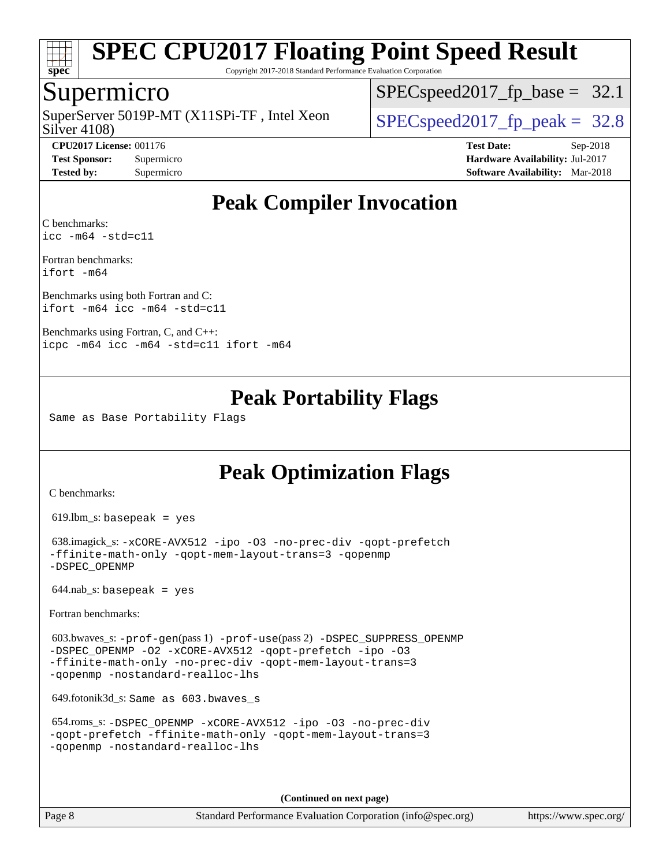

Copyright 2017-2018 Standard Performance Evaluation Corporation

## Supermicro

Silver 4108) SuperServer 5019P-MT  $(X11SPi-TF)$ , Intel Xeon  $\big|$  [SPECspeed2017\\_fp\\_peak =](http://www.spec.org/auto/cpu2017/Docs/result-fields.html#SPECspeed2017fppeak) 32.8

 $SPECspeed2017_fp\_base = 32.1$ 

**[CPU2017 License:](http://www.spec.org/auto/cpu2017/Docs/result-fields.html#CPU2017License)** 001176 **[Test Date:](http://www.spec.org/auto/cpu2017/Docs/result-fields.html#TestDate)** Sep-2018 **[Test Sponsor:](http://www.spec.org/auto/cpu2017/Docs/result-fields.html#TestSponsor)** Supermicro **[Hardware Availability:](http://www.spec.org/auto/cpu2017/Docs/result-fields.html#HardwareAvailability)** Jul-2017 **[Tested by:](http://www.spec.org/auto/cpu2017/Docs/result-fields.html#Testedby)** Supermicro **[Software Availability:](http://www.spec.org/auto/cpu2017/Docs/result-fields.html#SoftwareAvailability)** Mar-2018

## **[Peak Compiler Invocation](http://www.spec.org/auto/cpu2017/Docs/result-fields.html#PeakCompilerInvocation)**

[C benchmarks](http://www.spec.org/auto/cpu2017/Docs/result-fields.html#Cbenchmarks): [icc -m64 -std=c11](http://www.spec.org/cpu2017/results/res2018q4/cpu2017-20181002-09038.flags.html#user_CCpeak_intel_icc_64bit_c11_33ee0cdaae7deeeab2a9725423ba97205ce30f63b9926c2519791662299b76a0318f32ddfffdc46587804de3178b4f9328c46fa7c2b0cd779d7a61945c91cd35)

[Fortran benchmarks:](http://www.spec.org/auto/cpu2017/Docs/result-fields.html#Fortranbenchmarks) [ifort -m64](http://www.spec.org/cpu2017/results/res2018q4/cpu2017-20181002-09038.flags.html#user_FCpeak_intel_ifort_64bit_24f2bb282fbaeffd6157abe4f878425411749daecae9a33200eee2bee2fe76f3b89351d69a8130dd5949958ce389cf37ff59a95e7a40d588e8d3a57e0c3fd751)

[Benchmarks using both Fortran and C](http://www.spec.org/auto/cpu2017/Docs/result-fields.html#BenchmarksusingbothFortranandC): [ifort -m64](http://www.spec.org/cpu2017/results/res2018q4/cpu2017-20181002-09038.flags.html#user_CC_FCpeak_intel_ifort_64bit_24f2bb282fbaeffd6157abe4f878425411749daecae9a33200eee2bee2fe76f3b89351d69a8130dd5949958ce389cf37ff59a95e7a40d588e8d3a57e0c3fd751) [icc -m64 -std=c11](http://www.spec.org/cpu2017/results/res2018q4/cpu2017-20181002-09038.flags.html#user_CC_FCpeak_intel_icc_64bit_c11_33ee0cdaae7deeeab2a9725423ba97205ce30f63b9926c2519791662299b76a0318f32ddfffdc46587804de3178b4f9328c46fa7c2b0cd779d7a61945c91cd35)

[Benchmarks using Fortran, C, and C++](http://www.spec.org/auto/cpu2017/Docs/result-fields.html#BenchmarksusingFortranCandCXX): [icpc -m64](http://www.spec.org/cpu2017/results/res2018q4/cpu2017-20181002-09038.flags.html#user_CC_CXX_FCpeak_intel_icpc_64bit_4ecb2543ae3f1412ef961e0650ca070fec7b7afdcd6ed48761b84423119d1bf6bdf5cad15b44d48e7256388bc77273b966e5eb805aefd121eb22e9299b2ec9d9) [icc -m64 -std=c11](http://www.spec.org/cpu2017/results/res2018q4/cpu2017-20181002-09038.flags.html#user_CC_CXX_FCpeak_intel_icc_64bit_c11_33ee0cdaae7deeeab2a9725423ba97205ce30f63b9926c2519791662299b76a0318f32ddfffdc46587804de3178b4f9328c46fa7c2b0cd779d7a61945c91cd35) [ifort -m64](http://www.spec.org/cpu2017/results/res2018q4/cpu2017-20181002-09038.flags.html#user_CC_CXX_FCpeak_intel_ifort_64bit_24f2bb282fbaeffd6157abe4f878425411749daecae9a33200eee2bee2fe76f3b89351d69a8130dd5949958ce389cf37ff59a95e7a40d588e8d3a57e0c3fd751)

## **[Peak Portability Flags](http://www.spec.org/auto/cpu2017/Docs/result-fields.html#PeakPortabilityFlags)**

Same as Base Portability Flags

## **[Peak Optimization Flags](http://www.spec.org/auto/cpu2017/Docs/result-fields.html#PeakOptimizationFlags)**

[C benchmarks](http://www.spec.org/auto/cpu2017/Docs/result-fields.html#Cbenchmarks):

619.lbm\_s: basepeak = yes

 638.imagick\_s: [-xCORE-AVX512](http://www.spec.org/cpu2017/results/res2018q4/cpu2017-20181002-09038.flags.html#user_peakCOPTIMIZE638_imagick_s_f-xCORE-AVX512) [-ipo](http://www.spec.org/cpu2017/results/res2018q4/cpu2017-20181002-09038.flags.html#user_peakCOPTIMIZE638_imagick_s_f-ipo) [-O3](http://www.spec.org/cpu2017/results/res2018q4/cpu2017-20181002-09038.flags.html#user_peakCOPTIMIZE638_imagick_s_f-O3) [-no-prec-div](http://www.spec.org/cpu2017/results/res2018q4/cpu2017-20181002-09038.flags.html#user_peakCOPTIMIZE638_imagick_s_f-no-prec-div) [-qopt-prefetch](http://www.spec.org/cpu2017/results/res2018q4/cpu2017-20181002-09038.flags.html#user_peakCOPTIMIZE638_imagick_s_f-qopt-prefetch) [-ffinite-math-only](http://www.spec.org/cpu2017/results/res2018q4/cpu2017-20181002-09038.flags.html#user_peakCOPTIMIZE638_imagick_s_f_finite_math_only_cb91587bd2077682c4b38af759c288ed7c732db004271a9512da14a4f8007909a5f1427ecbf1a0fb78ff2a814402c6114ac565ca162485bbcae155b5e4258871) [-qopt-mem-layout-trans=3](http://www.spec.org/cpu2017/results/res2018q4/cpu2017-20181002-09038.flags.html#user_peakCOPTIMIZE638_imagick_s_f-qopt-mem-layout-trans_de80db37974c74b1f0e20d883f0b675c88c3b01e9d123adea9b28688d64333345fb62bc4a798493513fdb68f60282f9a726aa07f478b2f7113531aecce732043) [-qopenmp](http://www.spec.org/cpu2017/results/res2018q4/cpu2017-20181002-09038.flags.html#user_peakCOPTIMIZE638_imagick_s_qopenmp_16be0c44f24f464004c6784a7acb94aca937f053568ce72f94b139a11c7c168634a55f6653758ddd83bcf7b8463e8028bb0b48b77bcddc6b78d5d95bb1df2967) [-DSPEC\\_OPENMP](http://www.spec.org/cpu2017/results/res2018q4/cpu2017-20181002-09038.flags.html#suite_peakCOPTIMIZE638_imagick_s_DSPEC_OPENMP)

 $644.nab$ <sub>S</sub>: basepeak = yes

[Fortran benchmarks](http://www.spec.org/auto/cpu2017/Docs/result-fields.html#Fortranbenchmarks):

 603.bwaves\_s: [-prof-gen](http://www.spec.org/cpu2017/results/res2018q4/cpu2017-20181002-09038.flags.html#user_peakPASS1_FFLAGSPASS1_LDFLAGS603_bwaves_s_prof_gen_5aa4926d6013ddb2a31985c654b3eb18169fc0c6952a63635c234f711e6e63dd76e94ad52365559451ec499a2cdb89e4dc58ba4c67ef54ca681ffbe1461d6b36)(pass 1) [-prof-use](http://www.spec.org/cpu2017/results/res2018q4/cpu2017-20181002-09038.flags.html#user_peakPASS2_FFLAGSPASS2_LDFLAGS603_bwaves_s_prof_use_1a21ceae95f36a2b53c25747139a6c16ca95bd9def2a207b4f0849963b97e94f5260e30a0c64f4bb623698870e679ca08317ef8150905d41bd88c6f78df73f19)(pass 2) [-DSPEC\\_SUPPRESS\\_OPENMP](http://www.spec.org/cpu2017/results/res2018q4/cpu2017-20181002-09038.flags.html#suite_peakPASS1_FOPTIMIZE603_bwaves_s_DSPEC_SUPPRESS_OPENMP) [-DSPEC\\_OPENMP](http://www.spec.org/cpu2017/results/res2018q4/cpu2017-20181002-09038.flags.html#suite_peakPASS2_FOPTIMIZE603_bwaves_s_DSPEC_OPENMP) [-O2](http://www.spec.org/cpu2017/results/res2018q4/cpu2017-20181002-09038.flags.html#user_peakPASS1_FOPTIMIZE603_bwaves_s_f-O2) [-xCORE-AVX512](http://www.spec.org/cpu2017/results/res2018q4/cpu2017-20181002-09038.flags.html#user_peakPASS2_FOPTIMIZE603_bwaves_s_f-xCORE-AVX512) [-qopt-prefetch](http://www.spec.org/cpu2017/results/res2018q4/cpu2017-20181002-09038.flags.html#user_peakPASS1_FOPTIMIZEPASS2_FOPTIMIZE603_bwaves_s_f-qopt-prefetch) [-ipo](http://www.spec.org/cpu2017/results/res2018q4/cpu2017-20181002-09038.flags.html#user_peakPASS2_FOPTIMIZE603_bwaves_s_f-ipo) [-O3](http://www.spec.org/cpu2017/results/res2018q4/cpu2017-20181002-09038.flags.html#user_peakPASS2_FOPTIMIZE603_bwaves_s_f-O3) [-ffinite-math-only](http://www.spec.org/cpu2017/results/res2018q4/cpu2017-20181002-09038.flags.html#user_peakPASS1_FOPTIMIZEPASS2_FOPTIMIZE603_bwaves_s_f_finite_math_only_cb91587bd2077682c4b38af759c288ed7c732db004271a9512da14a4f8007909a5f1427ecbf1a0fb78ff2a814402c6114ac565ca162485bbcae155b5e4258871) [-no-prec-div](http://www.spec.org/cpu2017/results/res2018q4/cpu2017-20181002-09038.flags.html#user_peakPASS2_FOPTIMIZE603_bwaves_s_f-no-prec-div) [-qopt-mem-layout-trans=3](http://www.spec.org/cpu2017/results/res2018q4/cpu2017-20181002-09038.flags.html#user_peakPASS1_FOPTIMIZEPASS2_FOPTIMIZE603_bwaves_s_f-qopt-mem-layout-trans_de80db37974c74b1f0e20d883f0b675c88c3b01e9d123adea9b28688d64333345fb62bc4a798493513fdb68f60282f9a726aa07f478b2f7113531aecce732043) [-qopenmp](http://www.spec.org/cpu2017/results/res2018q4/cpu2017-20181002-09038.flags.html#user_peakPASS2_FOPTIMIZE603_bwaves_s_qopenmp_16be0c44f24f464004c6784a7acb94aca937f053568ce72f94b139a11c7c168634a55f6653758ddd83bcf7b8463e8028bb0b48b77bcddc6b78d5d95bb1df2967) [-nostandard-realloc-lhs](http://www.spec.org/cpu2017/results/res2018q4/cpu2017-20181002-09038.flags.html#user_peakEXTRA_FOPTIMIZE603_bwaves_s_f_2003_std_realloc_82b4557e90729c0f113870c07e44d33d6f5a304b4f63d4c15d2d0f1fab99f5daaed73bdb9275d9ae411527f28b936061aa8b9c8f2d63842963b95c9dd6426b8a)

649.fotonik3d\_s: Same as 603.bwaves\_s

```
 654.roms_s: -DSPEC_OPENMP -xCORE-AVX512 -ipo -O3 -no-prec-div
-qopt-prefetch -ffinite-math-only -qopt-mem-layout-trans=3
-qopenmp -nostandard-realloc-lhs
```
**(Continued on next page)**